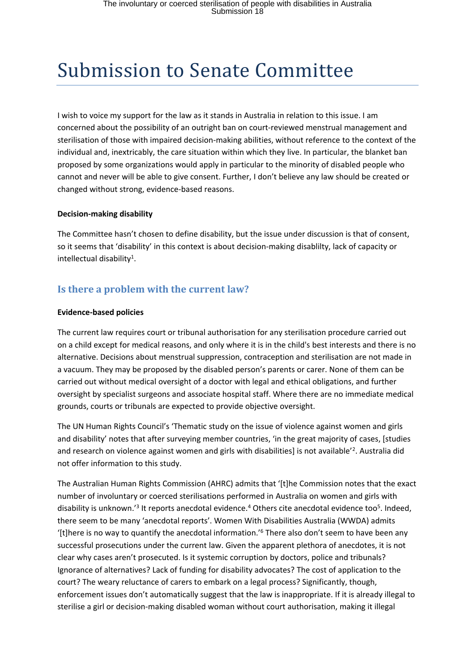# Submission to Senate Committee

I wish to voice my support for the law as it stands in Australia in relation to this issue. I am concerned about the possibility of an outright ban on court-reviewed menstrual management and sterilisation of those with impaired decision-making abilities, without reference to the context of the individual and, inextricably, the care situation within which they live. In particular, the blanket ban proposed by some organizations would apply in particular to the minority of disabled people who cannot and never will be able to give consent. Further, I don't believe any law should be created or changed without strong, evidence-based reasons.

#### **Decision-making disability**

The Committee hasn't chosen to define disability, but the issue under discussion is that of consent, so it seems that 'disability' in this context is about decision-making disablilty, lack of capacity or intellectual disability<sup>1</sup>.

# **Is there a problem with the current law?**

#### **Evidence-based policies**

The current law requires court or tribunal authorisation for any sterilisation procedure carried out on a child except for medical reasons, and only where it is in the child's best interests and there is no alternative. Decisions about menstrual suppression, contraception and sterilisation are not made in a vacuum. They may be proposed by the disabled person's parents or carer. None of them can be carried out without medical oversight of a doctor with legal and ethical obligations, and further oversight by specialist surgeons and associate hospital staff. Where there are no immediate medical grounds, courts or tribunals are expected to provide objective oversight.

The UN Human Rights Council's 'Thematic study on the issue of violence against women and girls and disability' notes that after surveying member countries, 'in the great majority of cases, [studies and research on violence against women and girls with disabilities] is not available<sup>'2</sup>. Australia did not offer information to this study.

The Australian Human Rights Commission (AHRC) admits that '[t]he Commission notes that the exact number of involuntary or coerced sterilisations performed in Australia on women and girls with disability is unknown.<sup>'3</sup> It reports anecdotal evidence.<sup>4</sup> Others cite anecdotal evidence too<sup>5</sup>. Indeed, there seem to be many 'anecdotal reports'. Women With Disabilities Australia (WWDA) admits '[t]here is no way to quantify the anecdotal information.'<sup>6</sup> There also don't seem to have been any successful prosecutions under the current law. Given the apparent plethora of anecdotes, it is not clear why cases aren't prosecuted. Is it systemic corruption by doctors, police and tribunals? Ignorance of alternatives? Lack of funding for disability advocates? The cost of application to the court? The weary reluctance of carers to embark on a legal process? Significantly, though, enforcement issues don't automatically suggest that the law is inappropriate. If it is already illegal to sterilise a girl or decision-making disabled woman without court authorisation, making it illegal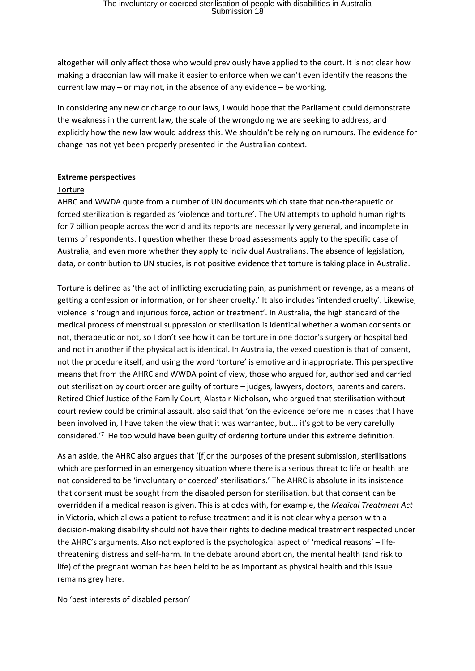altogether will only affect those who would previously have applied to the court. It is not clear how making a draconian law will make it easier to enforce when we can't even identify the reasons the current law may – or may not, in the absence of any evidence – be working.

In considering any new or change to our laws, I would hope that the Parliament could demonstrate the weakness in the current law, the scale of the wrongdoing we are seeking to address, and explicitly how the new law would address this. We shouldn't be relying on rumours. The evidence for change has not yet been properly presented in the Australian context.

#### **Extreme perspectives**

#### Torture

AHRC and WWDA quote from a number of UN documents which state that non-therapuetic or forced sterilization is regarded as 'violence and torture'. The UN attempts to uphold human rights for 7 billion people across the world and its reports are necessarily very general, and incomplete in terms of respondents. I question whether these broad assessments apply to the specific case of Australia, and even more whether they apply to individual Australians. The absence of legislation, data, or contribution to UN studies, is not positive evidence that torture is taking place in Australia.

Torture is defined as 'the act of inflicting excruciating pain, as punishment or revenge, as a means of getting a confession or information, or for sheer cruelty.' It also includes 'intended cruelty'. Likewise, violence is 'rough and injurious force, action or treatment'. In Australia, the high standard of the medical process of menstrual suppression or sterilisation is identical whether a woman consents or not, therapeutic or not, so I don't see how it can be torture in one doctor's surgery or hospital bed and not in another if the physical act is identical. In Australia, the vexed question is that of consent, not the procedure itself, and using the word 'torture' is emotive and inappropriate. This perspective means that from the AHRC and WWDA point of view, those who argued for, authorised and carried out sterilisation by court order are guilty of torture – judges, lawyers, doctors, parents and carers. Retired Chief Justice of the Family Court, Alastair Nicholson, who argued that sterilisation without court review could be criminal assault, also said that 'on the evidence before me in cases that I have been involved in, I have taken the view that it was warranted, but... it's got to be very carefully considered.<sup>'7</sup> He too would have been guilty of ordering torture under this extreme definition.

As an aside, the AHRC also argues that '[f]or the purposes of the present submission, sterilisations which are performed in an emergency situation where there is a serious threat to life or health are not considered to be 'involuntary or coerced' sterilisations.' The AHRC is absolute in its insistence that consent must be sought from the disabled person for sterilisation, but that consent can be overridden if a medical reason is given. This is at odds with, for example, the *Medical Treatment Act* in Victoria, which allows a patient to refuse treatment and it is not clear why a person with a decision-making disability should not have their rights to decline medical treatment respected under the AHRC's arguments. Also not explored is the psychological aspect of 'medical reasons' – lifethreatening distress and self-harm. In the debate around abortion, the mental health (and risk to life) of the pregnant woman has been held to be as important as physical health and this issue remains grey here.

#### No 'best interests of disabled person'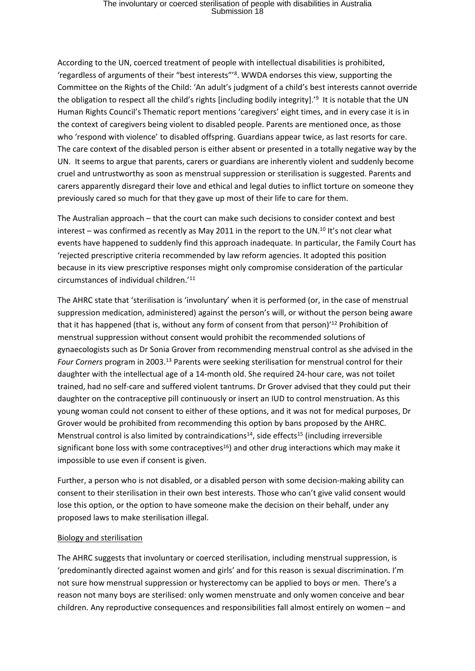According to the UN, coerced treatment of people with intellectual disabilities is prohibited, 'regardless of arguments of their "best interests"'<sup>8</sup> . WWDA endorses this view, supporting the Committee on the Rights of the Child: 'An adult's judgment of a child's best interests cannot override the obligation to respect all the child's rights [including bodily integrity].<sup>'9</sup> It is notable that the UN Human Rights Council's Thematic report mentions 'caregivers' eight times, and in every case it is in the context of caregivers being violent to disabled people. Parents are mentioned once, as those who 'respond with violence' to disabled offspring. Guardians appear twice, as last resorts for care. The care context of the disabled person is either absent or presented in a totally negative way by the UN. It seems to argue that parents, carers or guardians are inherently violent and suddenly become cruel and untrustworthy as soon as menstrual suppression or sterilisation is suggested. Parents and carers apparently disregard their love and ethical and legal duties to inflict torture on someone they previously cared so much for that they gave up most of their life to care for them.

The Australian approach – that the court can make such decisions to consider context and best interest – was confirmed as recently as May 2011 in the report to the UN.<sup>10</sup> It's not clear what events have happened to suddenly find this approach inadequate. In particular, the Family Court has 'rejected prescriptive criteria recommended by law reform agencies. It adopted this position because in its view prescriptive responses might only compromise consideration of the particular circumstances of individual children.'<sup>11</sup>

The AHRC state that 'sterilisation is 'involuntary' when it is performed (or, in the case of menstrual suppression medication, administered) against the person's will, or without the person being aware that it has happened (that is, without any form of consent from that person)<sup>'12</sup> Prohibition of menstrual suppression without consent would prohibit the recommended solutions of gynaecologists such as Dr Sonia Grover from recommending menstrual control as she advised in the *Four Corners* program in 2003.<sup>13</sup> Parents were seeking sterilisation for menstrual control for their daughter with the intellectual age of a 14-month old. She required 24-hour care, was not toilet trained, had no self-care and suffered violent tantrums. Dr Grover advised that they could put their daughter on the contraceptive pill continuously or insert an IUD to control menstruation. As this young woman could not consent to either of these options, and it was not for medical purposes, Dr Grover would be prohibited from recommending this option by bans proposed by the AHRC. Menstrual control is also limited by contraindications<sup>14</sup>, side effects<sup>15</sup> (including irreversible significant bone loss with some contraceptives<sup>16</sup>) and other drug interactions which may make it impossible to use even if consent is given.

Further, a person who is not disabled, or a disabled person with some decision-making ability can consent to their sterilisation in their own best interests. Those who can't give valid consent would lose this option, or the option to have someone make the decision on their behalf, under any proposed laws to make sterilisation illegal.

#### Biology and sterilisation

The AHRC suggests that involuntary or coerced sterilisation, including menstrual suppression, is 'predominantly directed against women and girls' and for this reason is sexual discrimination. I'm not sure how menstrual suppression or hysterectomy can be applied to boys or men. There's a reason not many boys are sterilised: only women menstruate and only women conceive and bear children. Any reproductive consequences and responsibilities fall almost entirely on women – and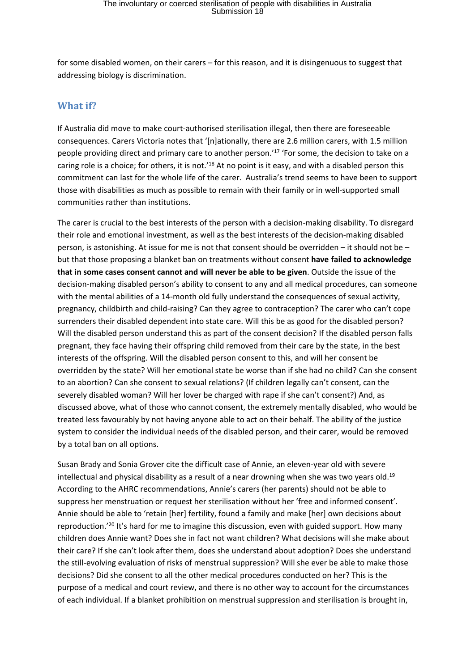for some disabled women, on their carers – for this reason, and it is disingenuous to suggest that addressing biology is discrimination.

### **What if?**

If Australia did move to make court-authorised sterilisation illegal, then there are foreseeable consequences. Carers Victoria notes that '[n]ationally, there are 2.6 million carers, with 1.5 million people providing direct and primary care to another person.'<sup>17</sup> 'For some, the decision to take on a caring role is a choice; for others, it is not.<sup>'18</sup> At no point is it easy, and with a disabled person this commitment can last for the whole life of the carer. Australia's trend seems to have been to support those with disabilities as much as possible to remain with their family or in well-supported small communities rather than institutions.

The carer is crucial to the best interests of the person with a decision-making disability. To disregard their role and emotional investment, as well as the best interests of the decision-making disabled person, is astonishing. At issue for me is not that consent should be overridden – it should not be – but that those proposing a blanket ban on treatments without consent **have failed to acknowledge that in some cases consent cannot and will never be able to be given**. Outside the issue of the decision-making disabled person's ability to consent to any and all medical procedures, can someone with the mental abilities of a 14-month old fully understand the consequences of sexual activity, pregnancy, childbirth and child-raising? Can they agree to contraception? The carer who can't cope surrenders their disabled dependent into state care. Will this be as good for the disabled person? Will the disabled person understand this as part of the consent decision? If the disabled person falls pregnant, they face having their offspring child removed from their care by the state, in the best interests of the offspring. Will the disabled person consent to this, and will her consent be overridden by the state? Will her emotional state be worse than if she had no child? Can she consent to an abortion? Can she consent to sexual relations? (If children legally can't consent, can the severely disabled woman? Will her lover be charged with rape if she can't consent?) And, as discussed above, what of those who cannot consent, the extremely mentally disabled, who would be treated less favourably by not having anyone able to act on their behalf. The ability of the justice system to consider the individual needs of the disabled person, and their carer, would be removed by a total ban on all options.

Susan Brady and Sonia Grover cite the difficult case of Annie, an eleven-year old with severe intellectual and physical disability as a result of a near drowning when she was two years old.<sup>19</sup> According to the AHRC recommendations, Annie's carers (her parents) should not be able to suppress her menstruation or request her sterilisation without her 'free and informed consent'. Annie should be able to 'retain [her] fertility, found a family and make [her] own decisions about reproduction.'<sup>20</sup> It's hard for me to imagine this discussion, even with guided support. How many children does Annie want? Does she in fact not want children? What decisions will she make about their care? If she can't look after them, does she understand about adoption? Does she understand the still-evolving evaluation of risks of menstrual suppression? Will she ever be able to make those decisions? Did she consent to all the other medical procedures conducted on her? This is the purpose of a medical and court review, and there is no other way to account for the circumstances of each individual. If a blanket prohibition on menstrual suppression and sterilisation is brought in,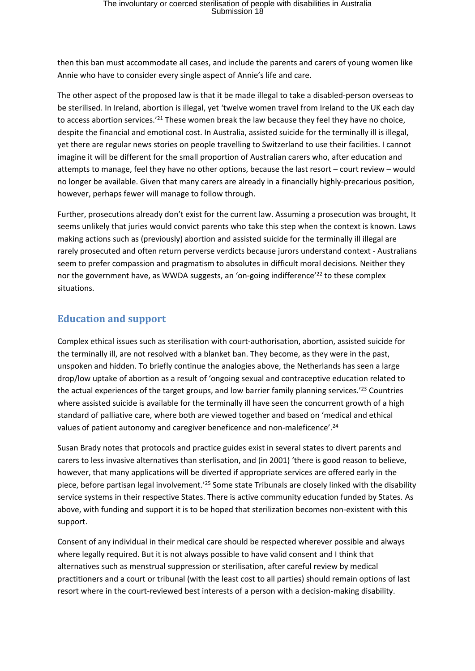then this ban must accommodate all cases, and include the parents and carers of young women like Annie who have to consider every single aspect of Annie's life and care.

The other aspect of the proposed law is that it be made illegal to take a disabled-person overseas to be sterilised. In Ireland, abortion is illegal, yet 'twelve women travel from Ireland to the UK each day to access abortion services.'<sup>21</sup> These women break the law because they feel they have no choice, despite the financial and emotional cost. In Australia, assisted suicide for the terminally ill is illegal, yet there are regular news stories on people travelling to Switzerland to use their facilities. I cannot imagine it will be different for the small proportion of Australian carers who, after education and attempts to manage, feel they have no other options, because the last resort – court review – would no longer be available. Given that many carers are already in a financially highly-precarious position, however, perhaps fewer will manage to follow through.

Further, prosecutions already don't exist for the current law. Assuming a prosecution was brought, It seems unlikely that juries would convict parents who take this step when the context is known. Laws making actions such as (previously) abortion and assisted suicide for the terminally ill illegal are rarely prosecuted and often return perverse verdicts because jurors understand context - Australians seem to prefer compassion and pragmatism to absolutes in difficult moral decisions. Neither they nor the government have, as WWDA suggests, an 'on-going indifference'<sup>22</sup> to these complex situations.

## **Education and support**

Complex ethical issues such as sterilisation with court-authorisation, abortion, assisted suicide for the terminally ill, are not resolved with a blanket ban. They become, as they were in the past, unspoken and hidden. To briefly continue the analogies above, the Netherlands has seen a large drop/low uptake of abortion as a result of 'ongoing sexual and contraceptive education related to the actual experiences of the target groups, and low barrier family planning services.'<sup>23</sup> Countries where assisted suicide is available for the terminally ill have seen the concurrent growth of a high standard of palliative care, where both are viewed together and based on 'medical and ethical values of patient autonomy and caregiver beneficence and non-maleficence'.<sup>24</sup>

Susan Brady notes that protocols and practice guides exist in several states to divert parents and carers to less invasive alternatives than sterlisation, and (in 2001) 'there is good reason to believe, however, that many applications will be diverted if appropriate services are offered early in the piece, before partisan legal involvement.'<sup>25</sup> Some state Tribunals are closely linked with the disability service systems in their respective States. There is active community education funded by States. As above, with funding and support it is to be hoped that sterilization becomes non-existent with this support.

Consent of any individual in their medical care should be respected wherever possible and always where legally required. But it is not always possible to have valid consent and I think that alternatives such as menstrual suppression or sterilisation, after careful review by medical practitioners and a court or tribunal (with the least cost to all parties) should remain options of last resort where in the court-reviewed best interests of a person with a decision-making disability.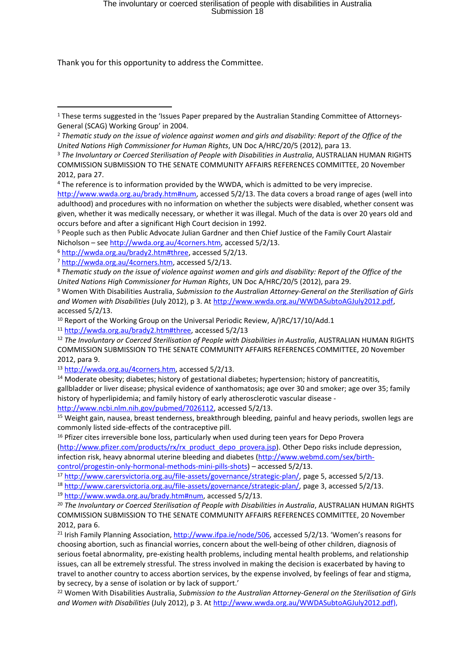# The involuntary or coerced sterilisation of people with disabilities in Australia Submission 18

Thank you for this opportunity to address the Committee.

<sup>4</sup> The reference is to information provided by the WWDA, which is admitted to be very imprecise.

<http://www.wwda.org.au/brady.htm#num>, accessed 5/2/13. The data covers a broad range of ages (well into adulthood) and procedures with no information on whether the subjects were disabled, whether consent was given, whether it was medically necessary, or whether it was illegal. Much of the data is over 20 years old and occurs before and after a significant High Court decision in 1992.

<sup>5</sup> People such as then Public Advocate Julian Gardner and then Chief Justice of the Family Court Alastair Nicholson – see [http://wwda.org.au/4corners.htm,](http://wwda.org.au/4corners.htm) accessed 5/2/13.

<sup>6</sup> <http://wwda.org.au/brady2.htm#three>, accessed 5/2/13.

<sup>8</sup> Thematic study on the issue of violence against women and girls and disability: Report of the Office of the *United Nations High Commissioner for Human Rights*, UN Doc A/HRC/20/5 (2012), para 29.

<sup>9</sup> Women With Disabilities Australia, *Submission to the Australian Attorney-General on the Sterilisation of Girls and Women with Disabilities* (July 2012), p 3. At [http://www.wwda.org.au/WWDASubtoAGJuly2012.pdf,](http://www.wwda.org.au/WWDASubtoAGJuly2012.pdf) accessed 5/2/13.

<sup>10</sup> Report of the Working Group on the Universal Periodic Review, A/)RC/17/10/Add.1

<sup>11</sup> [http://wwda.org.au/brady2.htm#three,](http://wwda.org.au/brady2.htm#three) accessed 5/2/13

<sup>12</sup> *The Involuntary or Coerced Sterilisation of People with Disabilities in Australia*, AUSTRALIAN HUMAN RIGHTS COMMISSION SUBMISSION TO THE SENATE COMMUNITY AFFAIRS REFERENCES COMMITTEE, 20 November 2012, para 9.

<sup>13</sup> [http://wwda.org.au/4corners.htm,](http://wwda.org.au/4corners.htm) accessed 5/2/13.

<sup>14</sup> Moderate obesity; diabetes; history of gestational diabetes; hypertension; history of pancreatitis, gallbladder or liver disease; physical evidence of xanthomatosis; age over 30 and smoker; age over 35; family history of hyperlipidemia; and family history of early atherosclerotic vascular disease [http://www.ncbi.nlm.nih.gov/pubmed/7026112,](http://www.ncbi.nlm.nih.gov/pubmed/7026112) accessed 5/2/13.

<sup>15</sup> Weight gain, nausea, breast tenderness, breakthrough bleeding, painful and heavy periods, swollen legs are

commonly listed side-effects of the contraceptive pill.

<sup>16</sup> Pfizer cites irreversible bone loss, particularly when used during teen years for Depo Provera [\(http://www.pfizer.com/products/rx/rx\\_product\\_depo\\_provera.jsp\)](http://www.pfizer.com/products/rx/rx_product_depo_provera.jsp). Other Depo risks include depression, infection risk, heavy abnormal uterine bleeding and diabetes ([http://www.webmd.com/sex/birth](http://www.webmd.com/sex/birth-control/progestin-only-hormonal-methods-mini-pills-shots)[control/progestin-only-hormonal-methods-mini-pills-shots](http://www.webmd.com/sex/birth-control/progestin-only-hormonal-methods-mini-pills-shots)) – accessed 5/2/13.

<sup>17</sup> [http://www.carersvictoria.org.au/file-assets/governance/strategic-plan/,](http://www.carersvictoria.org.au/file-assets/governance/strategic-plan/) page 5, accessed 5/2/13.

<sup>18</sup> [http://www.carersvictoria.org.au/file-assets/governance/strategic-plan/,](http://www.carersvictoria.org.au/file-assets/governance/strategic-plan/) page 3, accessed 5/2/13.

<sup>19</sup> [http://www.wwda.org.au/brady.htm#num,](http://www.wwda.org.au/brady.htm#num) accessed 5/2/13.

<sup>20</sup> *The Involuntary or Coerced Sterilisation of People with Disabilities in Australia*, AUSTRALIAN HUMAN RIGHTS COMMISSION SUBMISSION TO THE SENATE COMMUNITY AFFAIRS REFERENCES COMMITTEE, 20 November 2012, para 6.

<sup>21</sup> Irish Family Planning Association, [http://www.ifpa.ie/node/506,](http://www.ifpa.ie/node/506) accessed 5/2/13. 'Women's reasons for choosing abortion, such as financial worries, concern about the well-being of other children, diagnosis of serious foetal abnormality, pre-existing health problems, including mental health problems, and relationship issues, can all be extremely stressful. The stress involved in making the decision is exacerbated by having to travel to another country to access abortion services, by the expense involved, by feelings of fear and stigma, by secrecy, by a sense of isolation or by lack of support.'

<sup>22</sup> Women With Disabilities Australia, *Submission to the Australian Attorney-General on the Sterilisation of Girls and Women with Disabilities* (July 2012), p 3. At [http://www.wwda.org.au/WWDASubtoAGJuly2012.pdf\)](http://www.wwda.org.au/WWDASubtoAGJuly2012.pdf),

<sup>&</sup>lt;sup>1</sup> These terms suggested in the 'Issues Paper prepared by the Australian Standing Committee of Attorneys-General (SCAG) Working Group' in 2004.

<sup>&</sup>lt;sup>2</sup> Thematic study on the issue of violence against women and girls and disability: Report of the Office of the *United Nations High Commissioner for Human Rights*, UN Doc A/HRC/20/5 (2012), para 13.

<sup>3</sup> *The Involuntary or Coerced Sterilisation of People with Disabilities in Australia*, AUSTRALIAN HUMAN RIGHTS COMMISSION SUBMISSION TO THE SENATE COMMUNITY AFFAIRS REFERENCES COMMITTEE, 20 November 2012, para 27.

<sup>7</sup> [http://wwda.org.au/4corners.htm,](http://wwda.org.au/4corners.htm) accessed 5/2/13.